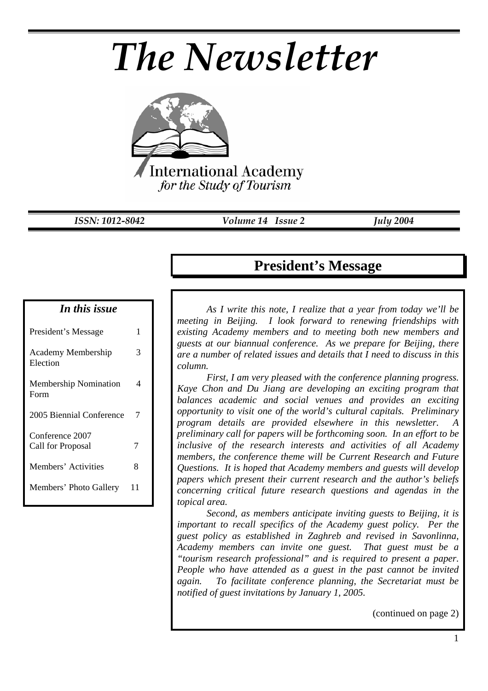# *The Newsletter*



*ISSN: 1012-8042 Volume 14 Issue 2 July 2004* 

#### *In this issue*

| President's Message                   |    |
|---------------------------------------|----|
| <b>Academy Membership</b><br>Election | 3  |
| <b>Membership Nomination</b><br>Form  | 4  |
| 2005 Biennial Conference              | 7  |
| Conference 2007                       |    |
| Call for Proposal                     | 7  |
| Members' Activities                   | 8  |
| Members' Photo Gallery                | 11 |

## **President's Message**

*As I write this note, I realize that a year from today we'll be meeting in Beijing. I look forward to renewing friendships with existing Academy members and to meeting both new members and guests at our biannual conference. As we prepare for Beijing, there are a number of related issues and details that I need to discuss in this column.* 

*First, I am very pleased with the conference planning progress. Kaye Chon and Du Jiang are developing an exciting program that balances academic and social venues and provides an exciting opportunity to visit one of the world's cultural capitals. Preliminary program details are provided elsewhere in this newsletter. preliminary call for papers will be forthcoming soon. In an effort to be inclusive of the research interests and activities of all Academy members, the conference theme will be Current Research and Future Questions. It is hoped that Academy members and guests will develop papers which present their current research and the author's beliefs concerning critical future research questions and agendas in the topical area.* 

*Second, as members anticipate inviting guests to Beijing, it is important to recall specifics of the Academy guest policy. Per the guest policy as established in Zaghreb and revised in Savonlinna, Academy members can invite one guest. That guest must be a "tourism research professional" and is required to present a paper. People who have attended as a guest in the past cannot be invited again. To facilitate conference planning, the Secretariat must be notified of guest invitations by January 1, 2005.*

(continued on page 2)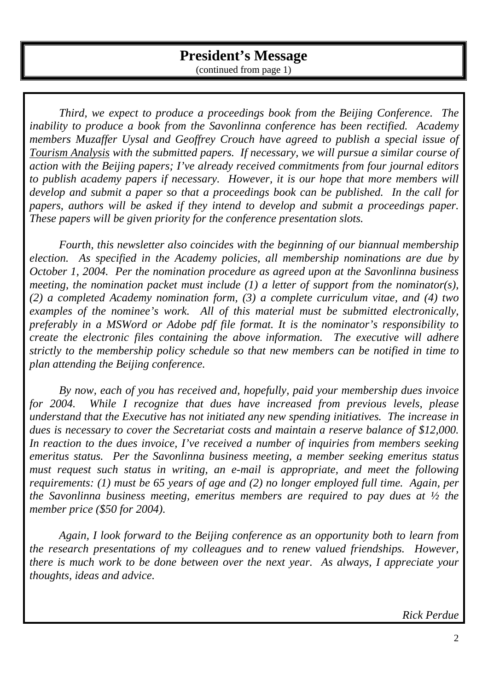*Third, we expect to produce a proceedings book from the Beijing Conference. The inability to produce a book from the Savonlinna conference has been rectified. Academy members Muzaffer Uysal and Geoffrey Crouch have agreed to publish a special issue of Tourism Analysis with the submitted papers. If necessary, we will pursue a similar course of action with the Beijing papers; I've already received commitments from four journal editors to publish academy papers if necessary. However, it is our hope that more members will develop and submit a paper so that a proceedings book can be published. In the call for papers, authors will be asked if they intend to develop and submit a proceedings paper. These papers will be given priority for the conference presentation slots.* 

*Fourth, this newsletter also coincides with the beginning of our biannual membership election. As specified in the Academy policies, all membership nominations are due by October 1, 2004. Per the nomination procedure as agreed upon at the Savonlinna business meeting, the nomination packet must include (1) a letter of support from the nominator(s), (2) a completed Academy nomination form, (3) a complete curriculum vitae, and (4) two examples of the nominee's work. All of this material must be submitted electronically, preferably in a MSWord or Adobe pdf file format. It is the nominator's responsibility to create the electronic files containing the above information. The executive will adhere strictly to the membership policy schedule so that new members can be notified in time to plan attending the Beijing conference.* 

*By now, each of you has received and, hopefully, paid your membership dues invoice for 2004. While I recognize that dues have increased from previous levels, please understand that the Executive has not initiated any new spending initiatives. The increase in dues is necessary to cover the Secretariat costs and maintain a reserve balance of \$12,000. In reaction to the dues invoice, I've received a number of inquiries from members seeking emeritus status. Per the Savonlinna business meeting, a member seeking emeritus status must request such status in writing, an e-mail is appropriate, and meet the following requirements: (1) must be 65 years of age and (2) no longer employed full time. Again, per the Savonlinna business meeting, emeritus members are required to pay dues at ½ the member price (\$50 for 2004).* 

*Again, I look forward to the Beijing conference as an opportunity both to learn from the research presentations of my colleagues and to renew valued friendships. However, there is much work to be done between over the next year. As always, I appreciate your thoughts, ideas and advice.* 

*Rick Perdue*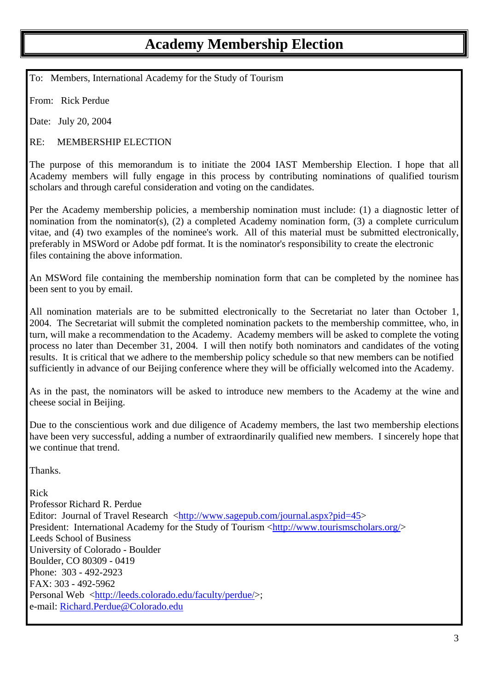## **Academy Membership Election**

To: Members, International Academy for the Study of Tourism

From: Rick Perdue

Date: July 20, 2004

RE: MEMBERSHIP ELECTION

The purpose of this memorandum is to initiate the 2004 IAST Membership Election. I hope that all Academy members will fully engage in this process by contributing nominations of qualified tourism scholars and through careful consideration and voting on the candidates.

Per the Academy membership policies, a membership nomination must include: (1) a diagnostic letter of nomination from the nominator(s), (2) a completed Academy nomination form, (3) a complete curriculum vitae, and (4) two examples of the nominee's work. All of this material must be submitted electronically, preferably in MSWord or Adobe pdf format. It is the nominator's responsibility to create the electronic files containing the above information.

An MSWord file containing the membership nomination form that can be completed by the nominee has been sent to you by email.

All nomination materials are to be submitted electronically to the Secretariat no later than October 1, 2004. The Secretariat will submit the completed nomination packets to the membership committee, who, in turn, will make a recommendation to the Academy. Academy members will be asked to complete the voting process no later than December 31, 2004. I will then notify both nominators and candidates of the voting results. It is critical that we adhere to the membership policy schedule so that new members can be notified sufficiently in advance of our Beijing conference where they will be officially welcomed into the Academy.

As in the past, the nominators will be asked to introduce new members to the Academy at the wine and cheese social in Beijing.

Due to the conscientious work and due diligence of Academy members, the last two membership elections have been very successful, adding a number of extraordinarily qualified new members. I sincerely hope that we continue that trend.

Thanks.

Rick

Professor Richard R. Perdue Editor: Journal of Travel Research <http://www.sagepub.com/journal.aspx?pid=45> President: International Academy for the Study of Tourism <http://www.tourismscholars.org/> Leeds School of Business University of Colorado - Boulder Boulder, CO 80309 - 0419 Phone: 303 - 492-2923 FAX: 303 - 492-5962 Personal Web <http://leeds.colorado.edu/faculty/perdue/>; e-mail: Richard.Perdue@Colorado.edu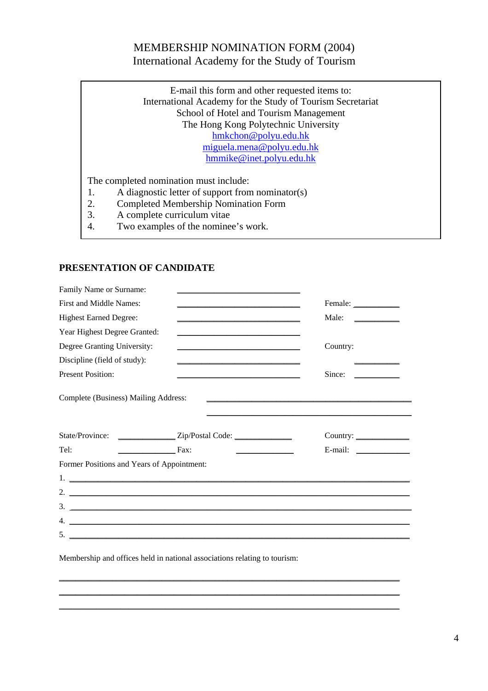#### MEMBERSHIP NOMINATION FORM (2004) International Academy for the Study of Tourism

E-mail this form and other requested items to: International Academy for the Study of Tourism Secretariat School of Hotel and Tourism Management The Hong Kong Polytechnic University hmkchon@polyu.edu.hk miguela.mena@polyu.edu.hk hmmike@inet.polyu.edu.hk

The completed nomination must include:

- 1. A diagnostic letter of support from nominator(s)
- 2. Completed Membership Nomination Form
- 3. A complete curriculum vitae
- 4. Two examples of the nominee's work.

#### **PRESENTATION OF CANDIDATE**

| Family Name or Surname:                    |                                                                                  |                                                              |
|--------------------------------------------|----------------------------------------------------------------------------------|--------------------------------------------------------------|
| First and Middle Names:                    |                                                                                  | Female:                                                      |
| <b>Highest Earned Degree:</b>              |                                                                                  | Male:<br><u> 1989 - Jan Barnett, fransk konge</u>            |
| Year Highest Degree Granted:               |                                                                                  |                                                              |
| Degree Granting University:                |                                                                                  | Country:                                                     |
| Discipline (field of study):               |                                                                                  |                                                              |
| <b>Present Position:</b>                   |                                                                                  | Since:<br><u> 1999 - Jan Jawa Barat, president politik (</u> |
| Complete (Business) Mailing Address:       | State/Province: ________________Zip/Postal Code: _______________________________ | Country:                                                     |
|                                            |                                                                                  |                                                              |
| Tel:<br>$\overline{\phantom{a}}$ Fax:      | <u> 1980 - Johann Barbara, martin a</u>                                          | E-mail: $\qquad \qquad$                                      |
| Former Positions and Years of Appointment: |                                                                                  |                                                              |

\_\_\_\_\_\_\_\_\_\_\_\_\_\_\_\_\_\_\_\_\_\_\_\_\_\_\_\_\_\_\_\_\_\_\_\_\_\_\_\_\_\_\_\_\_\_\_\_\_\_\_\_\_\_\_\_\_\_\_\_\_\_\_\_\_\_\_\_\_\_\_\_\_\_\_\_\_\_\_\_\_\_\_ \_\_\_\_\_\_\_\_\_\_\_\_\_\_\_\_\_\_\_\_\_\_\_\_\_\_\_\_\_\_\_\_\_\_\_\_\_\_\_\_\_\_\_\_\_\_\_\_\_\_\_\_\_\_\_\_\_\_\_\_\_\_\_\_\_\_\_\_\_\_\_\_\_\_\_\_\_\_\_\_\_\_\_ \_\_\_\_\_\_\_\_\_\_\_\_\_\_\_\_\_\_\_\_\_\_\_\_\_\_\_\_\_\_\_\_\_\_\_\_\_\_\_\_\_\_\_\_\_\_\_\_\_\_\_\_\_\_\_\_\_\_\_\_\_\_\_\_\_\_\_\_\_\_\_\_\_\_\_\_\_\_\_\_\_\_\_

Membership and offices held in national associations relating to tourism: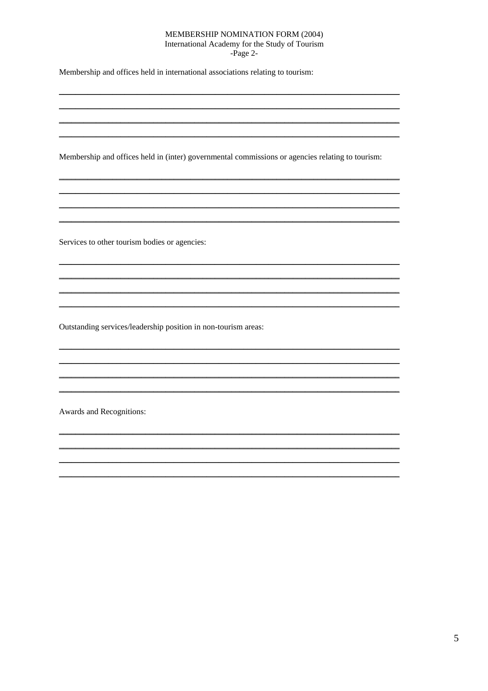#### MEMBERSHIP NOMINATION FORM (2004) International Academy for the Study of Tourism

-Page 2-

Membership and offices held in international associations relating to tourism:

Membership and offices held in (inter) governmental commissions or agencies relating to tourism:

Services to other tourism bodies or agencies:

Outstanding services/leadership position in non-tourism areas:

Awards and Recognitions: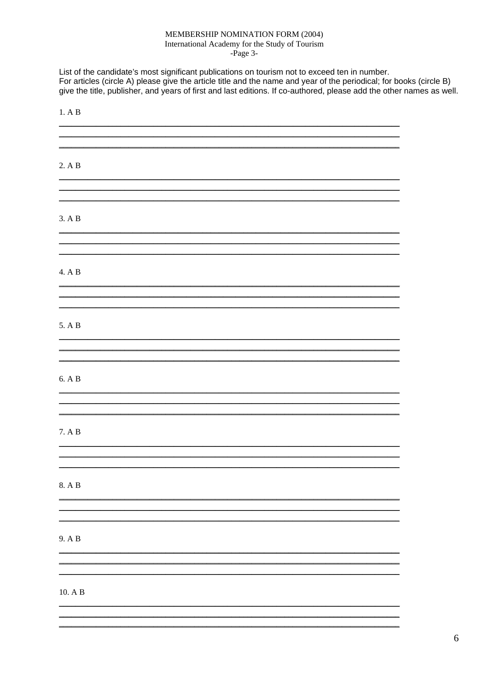#### MEMBERSHIP NOMINATION FORM (2004) International Academy for the Study of Tourism

-Page 3-

List of the candidate's most significant publications on tourism not to exceed ten in number. For articles (circle A) please give the article title and the name and year of the periodical; for books (circle B) give the title, publisher, and years of first and last editions. If co-authored, please add the other names as well.

| 1. A B           |  |  |  |
|------------------|--|--|--|
|                  |  |  |  |
| 2. A B           |  |  |  |
|                  |  |  |  |
| 3. A B           |  |  |  |
|                  |  |  |  |
| 4. A B           |  |  |  |
|                  |  |  |  |
| 5. A B           |  |  |  |
|                  |  |  |  |
| 6. A B           |  |  |  |
|                  |  |  |  |
| 7. A B           |  |  |  |
|                  |  |  |  |
| 8. A B           |  |  |  |
|                  |  |  |  |
| 9. A B           |  |  |  |
|                  |  |  |  |
| $10.$ A $\rm{B}$ |  |  |  |
|                  |  |  |  |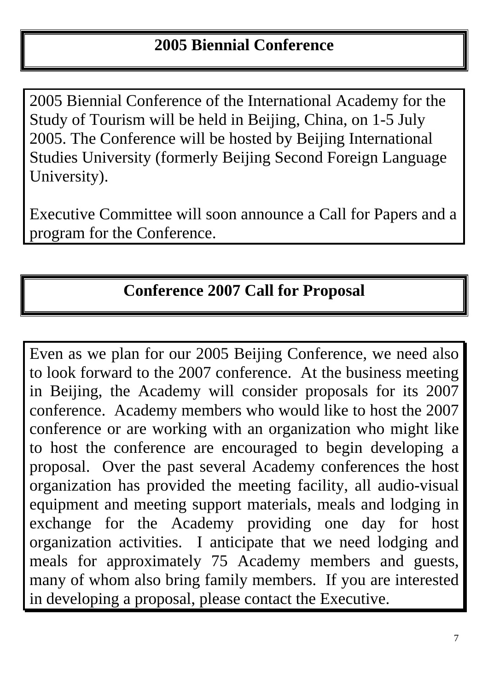# **2005 Biennial Conference**

2005 Biennial Conference of the International Academy for the Study of Tourism will be held in Beijing, China, on 1-5 July 2005. The Conference will be hosted by Beijing International Studies University (formerly Beijing Second Foreign Language University).

Executive Committee will soon announce a Call for Papers and a program for the Conference.

# **Conference 2007 Call for Proposal**

Even as we plan for our 2005 Beijing Conference, we need also to look forward to the 2007 conference. At the business meeting in Beijing, the Academy will consider proposals for its 2007 conference. Academy members who would like to host the 2007 conference or are working with an organization who might like to host the conference are encouraged to begin developing a proposal. Over the past several Academy conferences the host organization has provided the meeting facility, all audio-visual equipment and meeting support materials, meals and lodging in exchange for the Academy providing one day for host organization activities. I anticipate that we need lodging and meals for approximately 75 Academy members and guests, many of whom also bring family members. If you are interested in developing a proposal, please contact the Executive.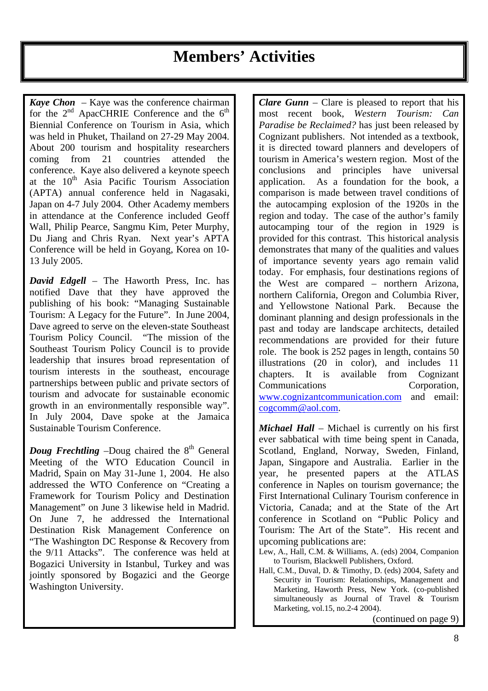# **Members' Activities**

*Kaye Chon* – Kaye was the conference chairman for the  $2<sup>nd</sup>$  ApacCHRIE Conference and the  $6<sup>th</sup>$ Biennial Conference on Tourism in Asia, which was held in Phuket, Thailand on 27-29 May 2004. About 200 tourism and hospitality researchers coming from 21 countries attended the conference. Kaye also delivered a keynote speech at the  $10^{th}$  Asia Pacific Tourism Association (APTA) annual conference held in Nagasaki, Japan on 4-7 July 2004. Other Academy members in attendance at the Conference included Geoff Wall, Philip Pearce, Sangmu Kim, Peter Murphy, Du Jiang and Chris Ryan. Next year's APTA Conference will be held in Goyang, Korea on 10- 13 July 2005.

*David Edgell* – The Haworth Press, Inc. has notified Dave that they have approved the publishing of his book: "Managing Sustainable Tourism: A Legacy for the Future". In June 2004, Dave agreed to serve on the eleven-state Southeast Tourism Policy Council. "The mission of the Southeast Tourism Policy Council is to provide leadership that insures broad representation of tourism interests in the southeast, encourage partnerships between public and private sectors of tourism and advocate for sustainable economic growth in an environmentally responsible way". In July 2004, Dave spoke at the Jamaica Sustainable Tourism Conference.

*Doug Frechtling*  $-Doug$  chaired the  $8<sup>th</sup>$  General Meeting of the WTO Education Council in Madrid, Spain on May 31-June 1, 2004. He also addressed the WTO Conference on "Creating a Framework for Tourism Policy and Destination Management" on June 3 likewise held in Madrid. On June 7, he addressed the International Destination Risk Management Conference on "The Washington DC Response & Recovery from the 9/11 Attacks". The conference was held at Bogazici University in Istanbul, Turkey and was jointly sponsored by Bogazici and the George Washington University.

*Clare Gunn* – Clare is pleased to report that his most recent book, *Western Tourism: Can Paradise be Reclaimed?* has just been released by Cognizant publishers. Not intended as a textbook, it is directed toward planners and developers of tourism in America's western region. Most of the conclusions and principles have universal application. As a foundation for the book, a comparison is made between travel conditions of the autocamping explosion of the 1920s in the region and today. The case of the author's family autocamping tour of the region in 1929 is provided for this contrast. This historical analysis demonstrates that many of the qualities and values of importance seventy years ago remain valid today. For emphasis, four destinations regions of the West are compared – northern Arizona, northern California, Oregon and Columbia River, and Yellowstone National Park. Because the dominant planning and design professionals in the past and today are landscape architects, detailed recommendations are provided for their future role. The book is 252 pages in length, contains 50 illustrations (20 in color), and includes 11 chapters. It is available from Cognizant Communications Corporation, www.cognizantcommunication.com and email: cogcomm@aol.com.

*Michael Hall* – Michael is currently on his first ever sabbatical with time being spent in Canada, Scotland, England, Norway, Sweden, Finland, Japan, Singapore and Australia. Earlier in the year, he presented papers at the ATLAS conference in Naples on tourism governance; the First International Culinary Tourism conference in Victoria, Canada; and at the State of the Art conference in Scotland on "Public Policy and Tourism: The Art of the State". His recent and upcoming publications are:

Lew, A., Hall, C.M. & Williams, A. (eds) 2004, Companion to Tourism, Blackwell Publishers, Oxford.

Hall, C.M., Duval, D. & Timothy, D. (eds) 2004, Safety and Security in Tourism: Relationships, Management and Marketing, Haworth Press, New York. (co-published simultaneously as Journal of Travel & Tourism Marketing, vol.15, no.2-4 2004).

(continued on page 9)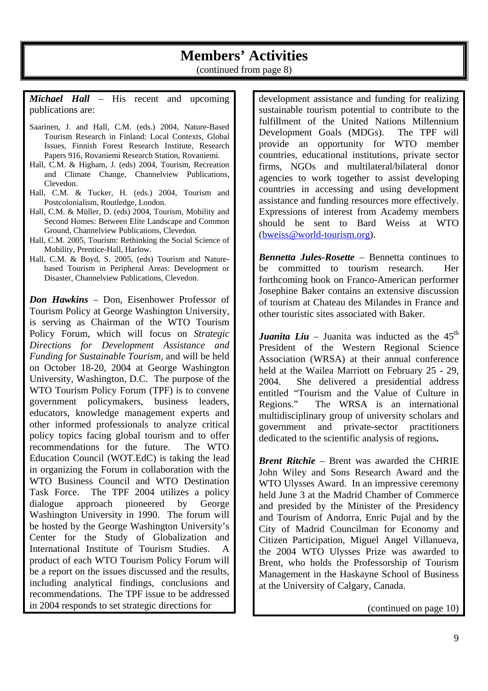## **Members' Activities**

(continued from page 8)

*Michael Hall* – His recent and upcoming publications are:

- Saarinen, J. and Hall, C.M. (eds.) 2004, Nature-Based Tourism Research in Finland: Local Contexts, Global Issues, Finnish Forest Research Institute, Research Papers 916, Rovaniemi Research Station, Rovaniemi.
- Hall, C.M. & Higham, J. (eds) 2004, Tourism, Recreation and Climate Change, Channelview Publications, Clevedon.
- Hall, C.M. & Tucker, H. (eds.) 2004, Tourism and Postcolonialism, Routledge, London.
- Hall, C.M. & Müller, D. (eds) 2004, Tourism, Mobility and Second Homes: Between Elite Landscape and Common Ground, Channelview Publications, Clevedon.
- Hall, C.M. 2005, Tourism: Rethinking the Social Science of Mobility, Prentice-Hall, Harlow.
- Hall, C.M. & Boyd, S. 2005, (eds) Tourism and Naturebased Tourism in Peripheral Areas: Development or Disaster, Channelview Publications, Clevedon.

*Don Hawkins* – Don, Eisenhower Professor of Tourism Policy at George Washington University, is serving as Chairman of the WTO Tourism Policy Forum, which will focus on *Strategic Directions for Development Assistance and Funding for Sustainable Tourism*, and will be held on October 18-20, 2004 at George Washington University, Washington, D.C. The purpose of the WTO Tourism Policy Forum (TPF) is to convene government policymakers, business leaders, educators, knowledge management experts and other informed professionals to analyze critical policy topics facing global tourism and to offer recommendations for the future. The WTO Education Council (WOT.EdC) is taking the lead in organizing the Forum in collaboration with the WTO Business Council and WTO Destination Task Force. The TPF 2004 utilizes a policy dialogue approach pioneered by George Washington University in 1990. The forum will be hosted by the George Washington University's Center for the Study of Globalization and International Institute of Tourism Studies. A product of each WTO Tourism Policy Forum will be a report on the issues discussed and the results, including analytical findings, conclusions and recommendations. The TPF issue to be addressed in 2004 responds to set strategic directions for

development assistance and funding for realizing sustainable tourism potential to contribute to the fulfillment of the United Nations Millennium Development Goals (MDGs). The TPF will provide an opportunity for WTO member countries, educational institutions, private sector firms, NGOs and multilateral/bilateral donor agencies to work together to assist developing countries in accessing and using development assistance and funding resources more effectively. Expressions of interest from Academy members should be sent to Bard Weiss at WTO (bweiss@world-tourism.org).

*Bennetta Jules-Rosette* – Bennetta continues to be committed to tourism research. Her forthcoming book on Franco-American performer Josephine Baker contains an extensive discussion of tourism at Chateau des Milandes in France and other touristic sites associated with Baker.

*Juanita Liu* – Juanita was inducted as the  $45<sup>th</sup>$ President of the Western Regional Science Association (WRSA) at their annual conference held at the Wailea Marriott on February 25 - 29, 2004. She delivered a presidential address entitled "Tourism and the Value of Culture in Regions." The WRSA is an international multidisciplinary group of university scholars and government and private-sector practitioners dedicated to the scientific analysis of regions**.**

*Brent Ritchie* – Brent was awarded the CHRIE John Wiley and Sons Research Award and the WTO Ulysses Award. In an impressive ceremony held June 3 at the Madrid Chamber of Commerce and presided by the Minister of the Presidency and Tourism of Andorra, Enric Pujal and by the City of Madrid Councilman for Economy and Citizen Participation, Miguel Angel Villanueva, the 2004 WTO Ulysses Prize was awarded to Brent, who holds the Professorship of Tourism Management in the Haskayne School of Business at the University of Calgary, Canada.

(continued on page 10)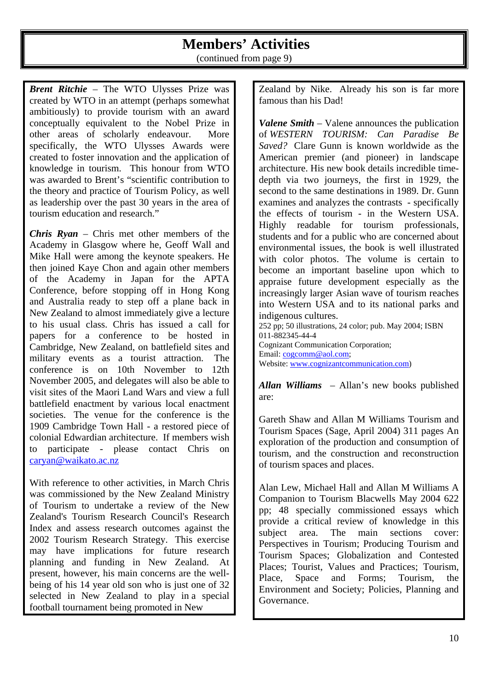## **Members' Activities**

(continued from page 9)

*Brent Ritchie* – The WTO Ulysses Prize was created by WTO in an attempt (perhaps somewhat ambitiously) to provide tourism with an award conceptually equivalent to the Nobel Prize in other areas of scholarly endeavour. More specifically, the WTO Ulysses Awards were created to foster innovation and the application of knowledge in tourism. This honour from WTO was awarded to Brent's "scientific contribution to the theory and practice of Tourism Policy, as well as leadership over the past 30 years in the area of tourism education and research."

*Chris Ryan* – Chris met other members of the Academy in Glasgow where he, Geoff Wall and Mike Hall were among the keynote speakers. He then joined Kaye Chon and again other members of the Academy in Japan for the APTA Conference, before stopping off in Hong Kong and Australia ready to step off a plane back in New Zealand to almost immediately give a lecture to his usual class. Chris has issued a call for papers for a conference to be hosted in Cambridge, New Zealand, on battlefield sites and military events as a tourist attraction. The conference is on 10th November to 12th November 2005, and delegates will also be able to visit sites of the Maori Land Wars and view a full battlefield enactment by various local enactment societies. The venue for the conference is the 1909 Cambridge Town Hall - a restored piece of colonial Edwardian architecture. If members wish to participate - please contact Chris on caryan@waikato.ac.nz

With reference to other activities, in March Chris was commissioned by the New Zealand Ministry of Tourism to undertake a review of the New Zealand's Tourism Research Council's Research Index and assess research outcomes against the 2002 Tourism Research Strategy. This exercise may have implications for future research planning and funding in New Zealand. At present, however, his main concerns are the wellbeing of his 14 year old son who is just one of 32 selected in New Zealand to play in a special football tournament being promoted in New

Zealand by Nike. Already his son is far more famous than his Dad!

*Valene Smith* – Valene announces the publication of *WESTERN TOURISM: Can Paradise Be Saved?* Clare Gunn is known worldwide as the American premier (and pioneer) in landscape architecture. His new book details incredible timedepth via two journeys, the first in 1929, the second to the same destinations in 1989. Dr. Gunn examines and analyzes the contrasts - specifically the effects of tourism - in the Western USA. Highly readable for tourism professionals, students and for a public who are concerned about environmental issues, the book is well illustrated with color photos. The volume is certain to become an important baseline upon which to appraise future development especially as the increasingly larger Asian wave of tourism reaches into Western USA and to its national parks and indigenous cultures. 252 pp; 50 illustrations, 24 color; pub. May 2004; ISBN 011-882345-44-4 Cognizant Communication Corporation;

Website: www.cognizantcommunication.com)

Email: cogcomm@aol.com;

*Allan Williams* – Allan's new books published are:

Gareth Shaw and Allan M Williams Tourism and Tourism Spaces (Sage, April 2004) 311 pages An exploration of the production and consumption of tourism, and the construction and reconstruction of tourism spaces and places.

Alan Lew, Michael Hall and Allan M Williams A Companion to Tourism Blacwells May 2004 622 pp; 48 specially commissioned essays which provide a critical review of knowledge in this subject area. The main sections cover: Perspectives in Tourism; Producing Tourism and Tourism Spaces; Globalization and Contested Places; Tourist, Values and Practices; Tourism, Place, Space and Forms; Tourism, the Environment and Society; Policies, Planning and Governance.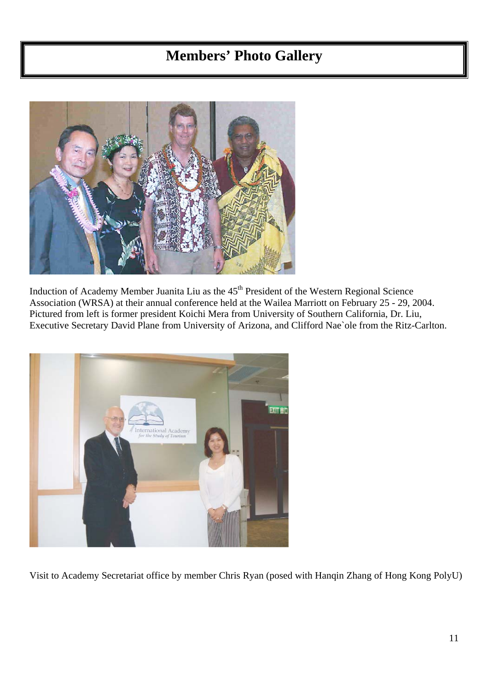## **Members' Photo Gallery**



Induction of Academy Member Juanita Liu as the 45<sup>th</sup> President of the Western Regional Science Association (WRSA) at their annual conference held at the Wailea Marriott on February 25 - 29, 2004. Pictured from left is former president Koichi Mera from University of Southern California, Dr. Liu, Executive Secretary David Plane from University of Arizona, and Clifford Nae`ole from the Ritz-Carlton.



Visit to Academy Secretariat office by member Chris Ryan (posed with Hanqin Zhang of Hong Kong PolyU)